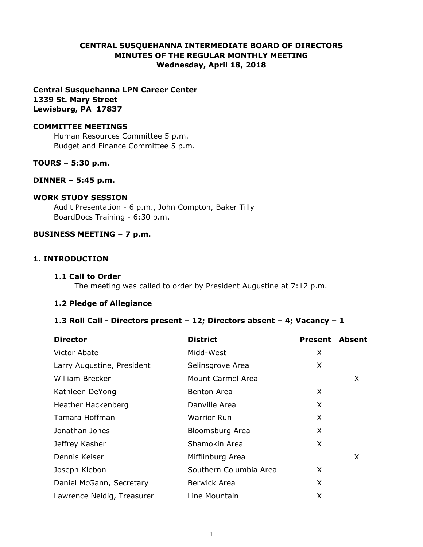# **CENTRAL SUSQUEHANNA INTERMEDIATE BOARD OF DIRECTORS MINUTES OF THE REGULAR MONTHLY MEETING Wednesday, April 18, 2018**

**Central Susquehanna LPN Career Center 1339 St. Mary Street Lewisburg, PA 17837**

#### **COMMITTEE MEETINGS**

Human Resources Committee 5 p.m. Budget and Finance Committee 5 p.m.

## **TOURS – 5:30 p.m.**

#### **DINNER – 5:45 p.m.**

#### **WORK STUDY SESSION**

Audit Presentation - 6 p.m., John Compton, Baker Tilly BoardDocs Training - 6:30 p.m.

#### **BUSINESS MEETING – 7 p.m.**

## **1. INTRODUCTION**

#### **1.1 Call to Order**

The meeting was called to order by President Augustine at 7:12 p.m.

#### **1.2 Pledge of Allegiance**

#### **1.3 Roll Call - Directors present – 12; Directors absent – 4; Vacancy – 1**

| <b>Director</b>            | <b>District</b>        | <b>Present</b> | <b>Absent</b> |
|----------------------------|------------------------|----------------|---------------|
| Victor Abate               | Midd-West              | X              |               |
| Larry Augustine, President | Selinsgrove Area       | X              |               |
| <b>William Brecker</b>     | Mount Carmel Area      |                | X             |
| Kathleen DeYong            | <b>Benton Area</b>     | X              |               |
| Heather Hackenberg         | Danville Area          | X              |               |
| Tamara Hoffman             | <b>Warrior Run</b>     | X              |               |
| Jonathan Jones             | Bloomsburg Area        | X              |               |
| Jeffrey Kasher             | Shamokin Area          | X              |               |
| Dennis Keiser              | Mifflinburg Area       |                | X             |
| Joseph Klebon              | Southern Columbia Area | X              |               |
| Daniel McGann, Secretary   | <b>Berwick Area</b>    | X              |               |
| Lawrence Neidig, Treasurer | Line Mountain          | X              |               |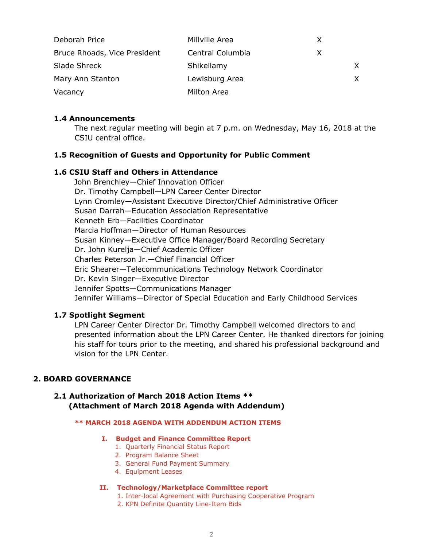| Deborah Price                | Millville Area   | X |    |
|------------------------------|------------------|---|----|
| Bruce Rhoads, Vice President | Central Columbia | X |    |
| Slade Shreck                 | Shikellamy       |   | X. |
| Mary Ann Stanton             | Lewisburg Area   |   | X. |
| Vacancy                      | Milton Area      |   |    |

## **1.4 Announcements**

The next regular meeting will begin at 7 p.m. on Wednesday, May 16, 2018 at the CSIU central office.

# **1.5 Recognition of Guests and Opportunity for Public Comment**

# **1.6 CSIU Staff and Others in Attendance**

 John Brenchley—Chief Innovation Officer Dr. Timothy Campbell—LPN Career Center Director Lynn Cromley—Assistant Executive Director/Chief Administrative Officer Susan Darrah—Education Association Representative Kenneth Erb—Facilities Coordinator Marcia Hoffman—Director of Human Resources Susan Kinney—Executive Office Manager/Board Recording Secretary Dr. John Kurelja—Chief Academic Officer Charles Peterson Jr.—Chief Financial Officer Eric Shearer—Telecommunications Technology Network Coordinator Dr. Kevin Singer—Executive Director Jennifer Spotts—Communications Manager Jennifer Williams—Director of Special Education and Early Childhood Services

# **1.7 Spotlight Segment**

LPN Career Center Director Dr. Timothy Campbell welcomed directors to and presented information about the LPN Career Center. He thanked directors for joining his staff for tours prior to the meeting, and shared his professional background and vision for the LPN Center.

## **2. BOARD GOVERNANCE**

# **2.1 Authorization of March 2018 Action Items \*\* (Attachment of March 2018 Agenda with Addendum)**

#### **\*\* MARCH 2018 AGENDA WITH ADDENDUM ACTION ITEMS**

#### **I. Budget and Finance Committee Report**

- 1. Quarterly Financial Status Report
- 2. Program Balance Sheet
- 3. General Fund Payment Summary
- 4. Equipment Leases

#### **II. Technology/Marketplace Committee report**

- 1. Inter-local Agreement with Purchasing Cooperative Program
- 2. KPN Definite Quantity Line-Item Bids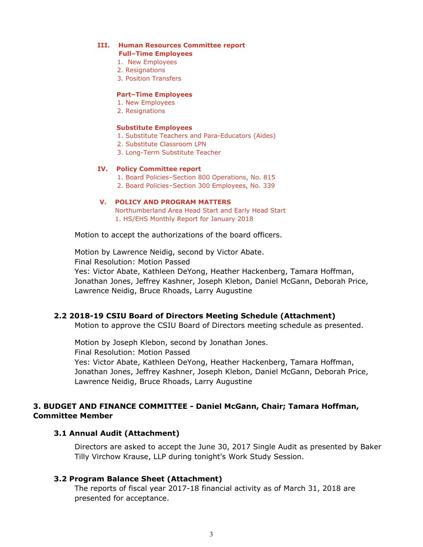#### **III. Human Resources Committee report**

- **Full–Time Employees**
- 1. New Employees
- 2. Resignations
- 3. Position Transfers

#### **Part–Time Employees**

- 1. New Employees
- 2. Resignations

#### **Substitute Employees**

- 1. Substitute Teachers and Para-Educators (Aides)
- 2. Substitute Classroom LPN
- 3. Long-Term Substitute Teacher

#### **IV. Policy Committee report**

- 1. Board Policies–Section 800 Operations, No. 815
- 2. Board Policies–Section 300 Employees, No. 339

#### **V. POLICY AND PROGRAM MATTERS**

 Northumberland Area Head Start and Early Head Start 1. HS/EHS Monthly Report for January 2018

Motion to accept the authorizations of the board officers.

Motion by Lawrence Neidig, second by Victor Abate. Final Resolution: Motion Passed Yes: Victor Abate, Kathleen DeYong, Heather Hackenberg, Tamara Hoffman, Jonathan Jones, Jeffrey Kashner, Joseph Klebon, Daniel McGann, Deborah Price, Lawrence Neidig, Bruce Rhoads, Larry Augustine

## **2.2 2018-19 CSIU Board of Directors Meeting Schedule (Attachment)**

Motion to approve the CSIU Board of Directors meeting schedule as presented.

Motion by Joseph Klebon, second by Jonathan Jones. Final Resolution: Motion Passed Yes: Victor Abate, Kathleen DeYong, Heather Hackenberg, Tamara Hoffman, Jonathan Jones, Jeffrey Kashner, Joseph Klebon, Daniel McGann, Deborah Price, Lawrence Neidig, Bruce Rhoads, Larry Augustine

# **3. BUDGET AND FINANCE COMMITTEE - Daniel McGann, Chair; Tamara Hoffman, Committee Member**

## **3.1 Annual Audit (Attachment)**

Directors are asked to accept the June 30, 2017 Single Audit as presented by Baker Tilly Virchow Krause, LLP during tonight's Work Study Session.

## **3.2 Program Balance Sheet (Attachment)**

The reports of fiscal year 2017-18 financial activity as of March 31, 2018 are presented for acceptance.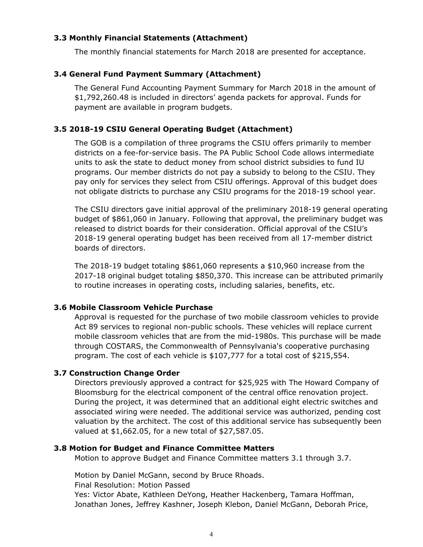# **3.3 Monthly Financial Statements (Attachment)**

The monthly financial statements for March 2018 are presented for acceptance.

## **3.4 General Fund Payment Summary (Attachment)**

The General Fund Accounting Payment Summary for March 2018 in the amount of \$1,792,260.48 is included in directors' agenda packets for approval. Funds for payment are available in program budgets.

## **3.5 2018-19 CSIU General Operating Budget (Attachment)**

The GOB is a compilation of three programs the CSIU offers primarily to member districts on a fee-for-service basis. The PA Public School Code allows intermediate units to ask the state to deduct money from school district subsidies to fund IU programs. Our member districts do not pay a subsidy to belong to the CSIU. They pay only for services they select from CSIU offerings. Approval of this budget does not obligate districts to purchase any CSIU programs for the 2018-19 school year.

The CSIU directors gave initial approval of the preliminary 2018-19 general operating budget of \$861,060 in January. Following that approval, the preliminary budget was released to district boards for their consideration. Official approval of the CSIU's 2018-19 general operating budget has been received from all 17-member district boards of directors.

The 2018-19 budget totaling \$861,060 represents a \$10,960 increase from the 2017-18 original budget totaling \$850,370. This increase can be attributed primarily to routine increases in operating costs, including salaries, benefits, etc.

## **3.6 Mobile Classroom Vehicle Purchase**

Approval is requested for the purchase of two mobile classroom vehicles to provide Act 89 services to regional non-public schools. These vehicles will replace current mobile classroom vehicles that are from the mid-1980s. This purchase will be made through COSTARS, the Commonwealth of Pennsylvania's cooperative purchasing program. The cost of each vehicle is \$107,777 for a total cost of \$215,554.

## **3.7 Construction Change Order**

Directors previously approved a contract for \$25,925 with The Howard Company of Bloomsburg for the electrical component of the central office renovation project. During the project, it was determined that an additional eight electric switches and associated wiring were needed. The additional service was authorized, pending cost valuation by the architect. The cost of this additional service has subsequently been valued at \$1,662.05, for a new total of \$27,587.05.

#### **3.8 Motion for Budget and Finance Committee Matters**

Motion to approve Budget and Finance Committee matters 3.1 through 3.7.

Motion by Daniel McGann, second by Bruce Rhoads. Final Resolution: Motion Passed Yes: Victor Abate, Kathleen DeYong, Heather Hackenberg, Tamara Hoffman, Jonathan Jones, Jeffrey Kashner, Joseph Klebon, Daniel McGann, Deborah Price,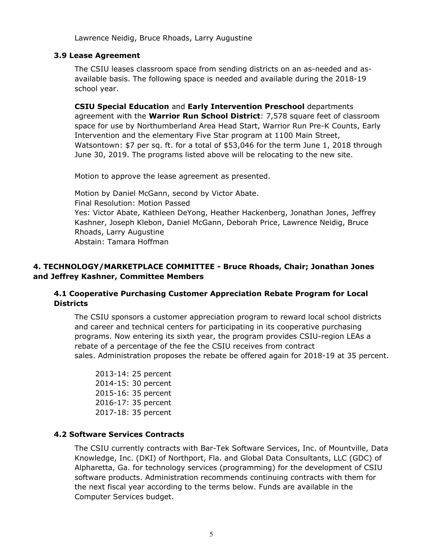Lawrence Neidig, Bruce Rhoads, Larry Augustine

## **3.9 Lease Agreement**

The CSIU leases classroom space from sending districts on an as-needed and asavailable basis. The following space is needed and available during the 2018-19 school year.

**CSIU Special Education** and **Early Intervention Preschool** departments agreement with the **Warrior Run School District**: 7,578 square feet of classroom space for use by Northumberland Area Head Start, Warrior Run Pre-K Counts, Early Intervention and the elementary Five Star program at 1100 Main Street, Watsontown: \$7 per sq. ft. for a total of \$53,046 for the term June 1, 2018 through June 30, 2019. The programs listed above will be relocating to the new site.

Motion to approve the lease agreement as presented.

Motion by Daniel McGann, second by Victor Abate. Final Resolution: Motion Passed Yes: Victor Abate, Kathleen DeYong, Heather Hackenberg, Jonathan Jones, Jeffrey Kashner, Joseph Klebon, Daniel McGann, Deborah Price, Lawrence Neidig, Bruce Rhoads, Larry Augustine Abstain: Tamara Hoffman

# **4. TECHNOLOGY/MARKETPLACE COMMITTEE - Bruce Rhoads, Chair; Jonathan Jones and Jeffrey Kashner, Committee Members**

# **4.1 Cooperative Purchasing Customer Appreciation Rebate Program for Local Districts**

The CSIU sponsors a customer appreciation program to reward local school districts and career and technical centers for participating in its cooperative purchasing programs. Now entering its sixth year, the program provides CSIU-region LEAs a rebate of a percentage of the fee the CSIU receives from contract sales. Administration proposes the rebate be offered again for 2018-19 at 35 percent.

2013-14: 25 percent 2014-15: 30 percent 2015-16: 35 percent 2016-17: 35 percent 2017-18: 35 percent

# **4.2 Software Services Contracts**

The CSIU currently contracts with Bar-Tek Software Services, Inc. of Mountville, Data Knowledge, Inc. (DKI) of Northport, Fla. and Global Data Consultants, LLC (GDC) of Alpharetta, Ga. for technology services (programming) for the development of CSIU software products. Administration recommends continuing contracts with them for the next fiscal year according to the terms below. Funds are available in the Computer Services budget.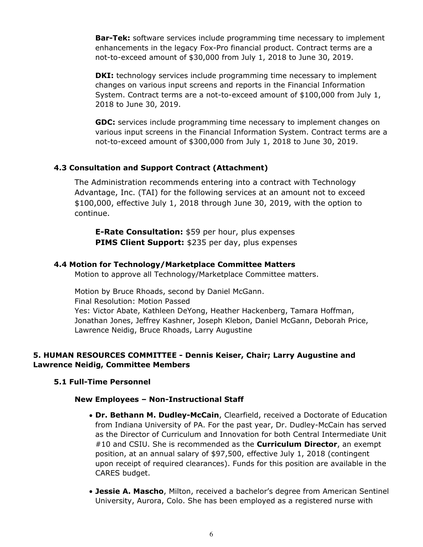**Bar-Tek:** software services include programming time necessary to implement enhancements in the legacy Fox-Pro financial product. Contract terms are a not-to-exceed amount of \$30,000 from July 1, 2018 to June 30, 2019.

**DKI:** technology services include programming time necessary to implement changes on various input screens and reports in the Financial Information System. Contract terms are a not-to-exceed amount of \$100,000 from July 1, 2018 to June 30, 2019.

**GDC:** services include programming time necessary to implement changes on various input screens in the Financial Information System. Contract terms are a not-to-exceed amount of \$300,000 from July 1, 2018 to June 30, 2019.

## **4.3 Consultation and Support Contract (Attachment)**

The Administration recommends entering into a contract with Technology Advantage, Inc. (TAI) for the following services at an amount not to exceed \$100,000, effective July 1, 2018 through June 30, 2019, with the option to continue.

**E-Rate Consultation:** \$59 per hour, plus expenses **PIMS Client Support:** \$235 per day, plus expenses

#### **4.4 Motion for Technology/Marketplace Committee Matters**

Motion to approve all Technology/Marketplace Committee matters.

Motion by Bruce Rhoads, second by Daniel McGann. Final Resolution: Motion Passed Yes: Victor Abate, Kathleen DeYong, Heather Hackenberg, Tamara Hoffman, Jonathan Jones, Jeffrey Kashner, Joseph Klebon, Daniel McGann, Deborah Price, Lawrence Neidig, Bruce Rhoads, Larry Augustine

## **5. HUMAN RESOURCES COMMITTEE - Dennis Keiser, Chair; Larry Augustine and Lawrence Neidig, Committee Members**

#### **5.1 Full-Time Personnel**

#### **New Employees – Non-Instructional Staff**

- **Dr. Bethann M. Dudley-McCain**, Clearfield, received a Doctorate of Education from Indiana University of PA. For the past year, Dr. Dudley-McCain has served as the Director of Curriculum and Innovation for both Central Intermediate Unit #10 and CSIU. She is recommended as the **Curriculum Director**, an exempt position, at an annual salary of \$97,500, effective July 1, 2018 (contingent upon receipt of required clearances). Funds for this position are available in the CARES budget.
- **Jessie A. Mascho**, Milton, received a bachelor's degree from American Sentinel University, Aurora, Colo. She has been employed as a registered nurse with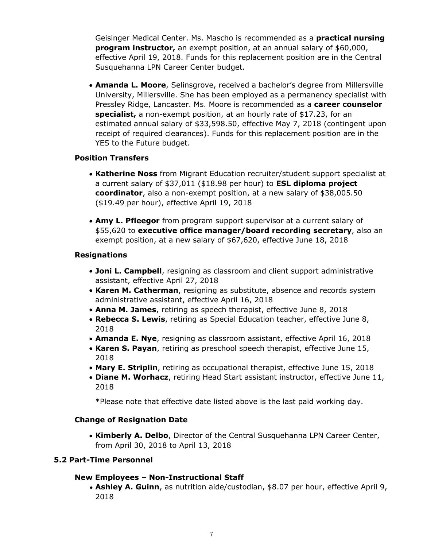Geisinger Medical Center. Ms. Mascho is recommended as a **practical nursing program instructor,** an exempt position, at an annual salary of \$60,000, effective April 19, 2018. Funds for this replacement position are in the Central Susquehanna LPN Career Center budget.

**Amanda L. Moore**, Selinsgrove, received a bachelor's degree from Millersville University, Millersville. She has been employed as a permanency specialist with Pressley Ridge, Lancaster. Ms. Moore is recommended as a **career counselor specialist,** a non-exempt position, at an hourly rate of \$17.23, for an estimated annual salary of \$33,598.50, effective May 7, 2018 (contingent upon receipt of required clearances). Funds for this replacement position are in the YES to the Future budget.

## **Position Transfers**

- **Katherine Noss** from Migrant Education recruiter/student support specialist at a current salary of \$37,011 (\$18.98 per hour) to **ESL diploma project coordinator**, also a non-exempt position, at a new salary of \$38,005.50 (\$19.49 per hour), effective April 19, 2018
- **Amy L. Pfleegor** from program support supervisor at a current salary of \$55,620 to **executive office manager/board recording secretary**, also an exempt position, at a new salary of \$67,620, effective June 18, 2018

# **Resignations**

- **Joni L. Campbell**, resigning as classroom and client support administrative assistant, effective April 27, 2018
- **Karen M. Catherman**, resigning as substitute, absence and records system administrative assistant, effective April 16, 2018
- **Anna M. James**, retiring as speech therapist, effective June 8, 2018
- **Rebecca S. Lewis**, retiring as Special Education teacher, effective June 8, 2018
- **Amanda E. Nye**, resigning as classroom assistant, effective April 16, 2018
- **Karen S. Payan**, retiring as preschool speech therapist, effective June 15, 2018
- **Mary E. Striplin**, retiring as occupational therapist, effective June 15, 2018
- **Diane M. Worhacz**, retiring Head Start assistant instructor, effective June 11, 2018

\*Please note that effective date listed above is the last paid working day.

## **Change of Resignation Date**

**Kimberly A. Delbo**, Director of the Central Susquehanna LPN Career Center, from April 30, 2018 to April 13, 2018

# **5.2 Part-Time Personnel**

## **New Employees – Non-Instructional Staff**

**Ashley A. Guinn**, as nutrition aide/custodian, \$8.07 per hour, effective April 9, 2018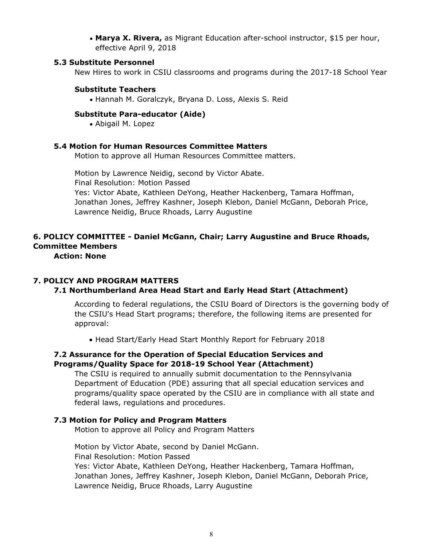**Marya X. Rivera, as Migrant Education after-school instructor, \$15 per hour,** effective April 9, 2018

#### **5.3 Substitute Personnel**

New Hires to work in CSIU classrooms and programs during the 2017-18 School Year

#### **Substitute Teachers**

Hannah M. Goralczyk, Bryana D. Loss, Alexis S. Reid

#### **Substitute Para-educator (Aide)**

Abigail M. Lopez

#### **5.4 Motion for Human Resources Committee Matters**

Motion to approve all Human Resources Committee matters.

Motion by Lawrence Neidig, second by Victor Abate. Final Resolution: Motion Passed Yes: Victor Abate, Kathleen DeYong, Heather Hackenberg, Tamara Hoffman, Jonathan Jones, Jeffrey Kashner, Joseph Klebon, Daniel McGann, Deborah Price, Lawrence Neidig, Bruce Rhoads, Larry Augustine

# **6. POLICY COMMITTEE - Daniel McGann, Chair; Larry Augustine and Bruce Rhoads, Committee Members**

**Action: None**

## **7. POLICY AND PROGRAM MATTERS**

## **7.1 Northumberland Area Head Start and Early Head Start (Attachment)**

According to federal regulations, the CSIU Board of Directors is the governing body of the CSIU's Head Start programs; therefore, the following items are presented for approval:

Head Start/Early Head Start Monthly Report for February 2018

## **7.2 Assurance for the Operation of Special Education Services and Programs/Quality Space for 2018-19 School Year (Attachment)**

The CSIU is required to annually submit documentation to the Pennsylvania Department of Education (PDE) assuring that all special education services and programs/quality space operated by the CSIU are in compliance with all state and federal laws, regulations and procedures.

## **7.3 Motion for Policy and Program Matters**

Motion to approve all Policy and Program Matters

Motion by Victor Abate, second by Daniel McGann. Final Resolution: Motion Passed Yes: Victor Abate, Kathleen DeYong, Heather Hackenberg, Tamara Hoffman, Jonathan Jones, Jeffrey Kashner, Joseph Klebon, Daniel McGann, Deborah Price, Lawrence Neidig, Bruce Rhoads, Larry Augustine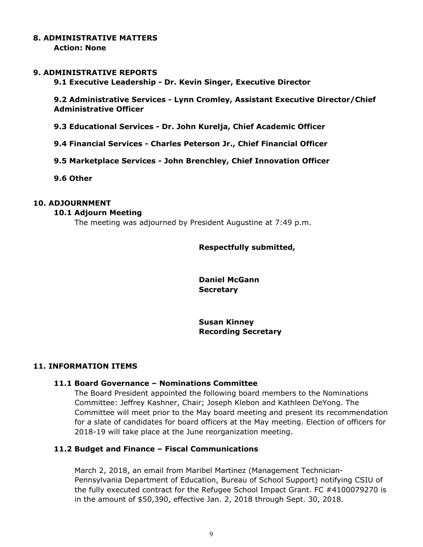# **8. ADMINISTRATIVE MATTERS**

**Action: None**

## **9. ADMINISTRATIVE REPORTS**

**9.1 Executive Leadership - Dr. Kevin Singer, Executive Director**

**9.2 Administrative Services - Lynn Cromley, Assistant Executive Director/Chief Administrative Officer**

**9.3 Educational Services - Dr. John Kurelja, Chief Academic Officer**

- **9.4 Financial Services Charles Peterson Jr., Chief Financial Officer**
- **9.5 Marketplace Services John Brenchley, Chief Innovation Officer**

**9.6 Other**

# **10. ADJOURNMENT**

#### **10.1 Adjourn Meeting**

The meeting was adjourned by President Augustine at 7:49 p.m.

## **Respectfully submitted,**

**Daniel McGann Secretary**

**Susan Kinney Recording Secretary**

## **11. INFORMATION ITEMS**

## **11.1 Board Governance – Nominations Committee**

The Board President appointed the following board members to the Nominations Committee: Jeffrey Kashner, Chair; Joseph Klebon and Kathleen DeYong. The Committee will meet prior to the May board meeting and present its recommendation for a slate of candidates for board officers at the May meeting. Election of officers for 2018-19 will take place at the June reorganization meeting.

## **11.2 Budget and Finance – Fiscal Communications**

March 2, 2018, an email from Maribel Martinez (Management Technician-Pennsylvania Department of Education, Bureau of School Support) notifying CSIU of the fully executed contract for the Refugee School Impact Grant. FC #4100079270 is in the amount of \$50,390, effective Jan. 2, 2018 through Sept. 30, 2018.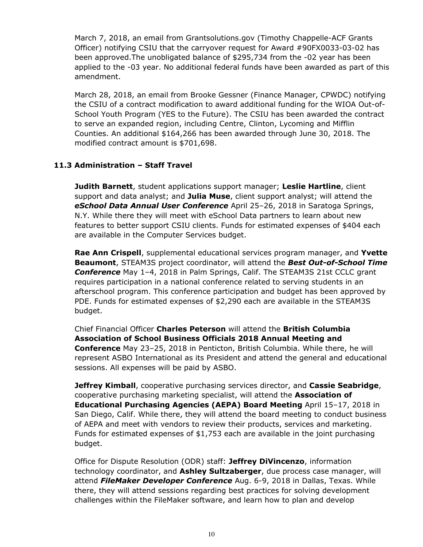March 7, 2018, an email from Grantsolutions.gov (Timothy Chappelle-ACF Grants Officer) notifying CSIU that the carryover request for Award #90FX0033-03-02 has been approved.The unobligated balance of \$295,734 from the -02 year has been applied to the -03 year. No additional federal funds have been awarded as part of this amendment.

March 28, 2018, an email from Brooke Gessner (Finance Manager, CPWDC) notifying the CSIU of a contract modification to award additional funding for the WIOA Out-of-School Youth Program (YES to the Future). The CSIU has been awarded the contract to serve an expanded region, including Centre, Clinton, Lycoming and Mifflin Counties. An additional \$164,266 has been awarded through June 30, 2018. The modified contract amount is \$701,698.

# **11.3 Administration – Staff Travel**

**Judith Barnett**, student applications support manager; **Leslie Hartline**, client support and data analyst; and **Julia Muse**, client support analyst; will attend the *eSchool Data Annual User Conference* April 25–26, 2018 in Saratoga Springs, N.Y. While there they will meet with eSchool Data partners to learn about new features to better support CSIU clients. Funds for estimated expenses of \$404 each are available in the Computer Services budget.

**Rae Ann Crispell**, supplemental educational services program manager, and **Yvette Beaumont**, STEAM3S project coordinator, will attend the *Best Out-of-School Time Conference* May 1–4, 2018 in Palm Springs, Calif. The STEAM3S 21st CCLC grant requires participation in a national conference related to serving students in an afterschool program. This conference participation and budget has been approved by PDE. Funds for estimated expenses of \$2,290 each are available in the STEAM3S budget.

Chief Financial Officer **Charles Peterson** will attend the **British Columbia Association of School Business Officials 2018 Annual Meeting and Conference** May 23–25, 2018 in Penticton, British Columbia. While there, he will represent ASBO International as its President and attend the general and educational sessions. All expenses will be paid by ASBO.

**Jeffrey Kimball**, cooperative purchasing services director, and **Cassie Seabridge**, cooperative purchasing marketing specialist, will attend the **Association of Educational Purchasing Agencies (AEPA) Board Meeting** April 15–17, 2018 in San Diego, Calif. While there, they will attend the board meeting to conduct business of AEPA and meet with vendors to review their products, services and marketing. Funds for estimated expenses of \$1,753 each are available in the joint purchasing budget.

Office for Dispute Resolution (ODR) staff: **Jeffrey DiVincenzo**, information technology coordinator, and **Ashley Sultzaberger**, due process case manager, will attend *FileMaker Developer Conference* Aug. 6-9, 2018 in Dallas, Texas. While there, they will attend sessions regarding best practices for solving development challenges within the FileMaker software, and learn how to plan and develop